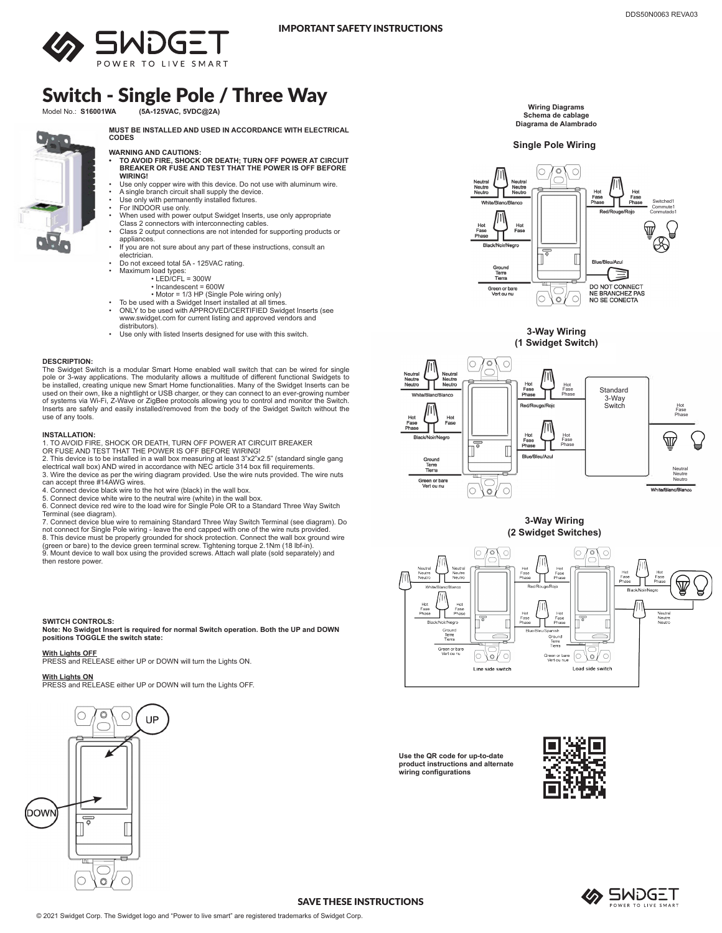

# Switch - Single Pole / Three Way

Model No.: **S16001WA (5A-125VAC, 5VDC@2A)**

**MUST BE INSTALLED AND USED IN ACCORDANCE WITH ELECTRICAL CODES**

- **WARNING AND CAUTIONS: • TO AVOID FIRE, SHOCK OR DEATH; TURN OFF POWER AT CIRCUIT BREAKER OR FUSE AND TEST THAT THE POWER IS OFF BEFORE WIRING!**
- Use only copper wire with this device. Do not use with aluminum wire.
- A single branch circuit shall supply the device. Use only with permanently installed fixtures.
- 
- For INDOOR use only. When used with power output Swidget Inserts, use only appropriate
- Class 2 connectors with interconnecting cables. Class 2 output connections are not intended for supporting products or appliances.
- If you are not sure about any part of these instructions, consult an electrician.
- Do not exceed total 5A 125VAC rating.
- Maximum load types: LED/CFL = 300W
	- Incandescent = 600W
	-
- Motor = 1/3 HP (Single Pole wiring only) To be used with a Swidget Insert installed at all times.
- ONLY to be used with APPROVED/CERTIFIED Swidget Inserts (see www.swidget.com for current listing and approved vendors and distributors).
- Use only with listed Inserts designed for use with this switch.

# **DESCRIPTION:**

The Swidget Switch is a modular Smart Home enabled wall switch that can be wired for single<br>pole or 3-way applications. The modularity allows a multitude of different functional Swidgets to<br>be installed, creating unique ne used on their own, like a nightlight or USB charger, or they can connect to an ever-growing number of systems via Wi-Fi, Z-Wave or ZigBee protocols allowing you to control and monitor the Switch. Inserts are safely and easily installed/removed from the body of the Swidget Switch without the use of any tools.

### **INSTALLATION:**

1. TO AVOID FIRE, SHOCK OR DEATH, TURN OFF POWER AT CIRCUIT BREAKER OR FUSE AND TEST THAT THE POWER IS OFF BEFORE WIRING!

2. This device is to be installed in a wall box measuring at least 3"x2"x2.5" (standard single gang electrical wall box) AND wired in accordance with NEC article 314 box fill requirements. 3. Wire the device as per the wiring diagram provided. Use the wire nuts provided. The wire nuts can accept three #14AWG wires.

4. Connect device black wire to the hot wire (black) in the wall box. 5. Connect device white wire to the neutral wire (white) in the wall box.

6. Connect device red wire to the load wire for Single Pole OR to a Standard Three Way Switch Terminal (see diagram).

7. Connect device blue wire to remaining Standard Three Way Switch Terminal (see diagram). Do

not connect for Single Pole wiring - leave the end capped with one of the wire nuts provided. 8. This device must be properly grounded for shock protection. Connect the wall box ground wire (green or bare) to the device green terminal screw. Tightening torque 2.1Nm (18 lbf-in).<br>9. Mount device to wall box using the provided screws. Attach wall plate (sold separately) and then restore power.

### **SWITCH CONTROLS:**

**Note: No Swidget Insert is required for normal Switch operation. Both the UP and DOWN positions TOGGLE the switch state:**

**With Lights OFF** PRESS and RELEASE either UP or DOWN will turn the Lights ON.

**With Lights ON** PRESS and RELEASE either UP or DOWN will turn the Lights OFF.



**Use the QR code for up-to-date product instructions and alternate wiring configurations**





### SAVE THESE INSTRUCTIONS



**Single Pole Wiring**







**3-Way Wiring (2 Swidget Switches)**